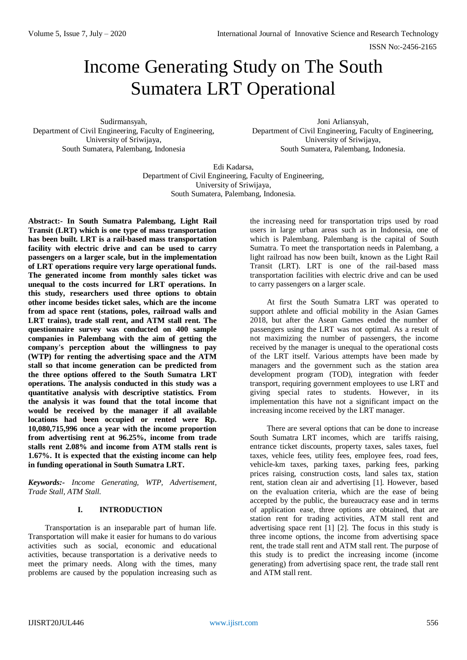# Income Generating Study on The South Sumatera LRT Operational

Sudirmansyah, Department of Civil Engineering, Faculty of Engineering, University of Sriwijaya, South Sumatera, Palembang, Indonesia

Joni Arliansyah, Department of Civil Engineering, Faculty of Engineering, University of Sriwijaya, South Sumatera, Palembang, Indonesia.

Edi Kadarsa, Department of Civil Engineering, Faculty of Engineering, University of Sriwijaya, South Sumatera, Palembang, Indonesia.

**Abstract:- In South Sumatra Palembang, Light Rail Transit (LRT) which is one type of mass transportation has been built. LRT is a rail-based mass transportation facility with electric drive and can be used to carry passengers on a larger scale, but in the implementation of LRT operations require very large operational funds. The generated income from monthly sales ticket was unequal to the costs incurred for LRT operations. In this study, researchers used three options to obtain other income besides ticket sales, which are the income from ad space rent (stations, poles, railroad walls and LRT trains), trade stall rent, and ATM stall rent. The questionnaire survey was conducted on 400 sample companies in Palembang with the aim of getting the company's perception about the willingness to pay (WTP) for renting the advertising space and the ATM stall so that income generation can be predicted from the three options offered to the South Sumatra LRT operations. The analysis conducted in this study was a quantitative analysis with descriptive statistics. From the analysis it was found that the total income that would be received by the manager if all available locations had been occupied or rented were Rp. 10,080,715,996 once a year with the income proportion from advertising rent at 96.25%, income from trade stalls rent 2.08% and income from ATM stalls rent is 1.67%. It is expected that the existing income can help in funding operational in South Sumatra LRT.**

*Keywords:- Income Generating, WTP, Advertisement, Trade Stall, ATM Stall.*

## **I. INTRODUCTION**

Transportation is an inseparable part of human life. Transportation will make it easier for humans to do various activities such as social, economic and educational activities, because transportation is a derivative needs to meet the primary needs. Along with the times, many problems are caused by the population increasing such as the increasing need for transportation trips used by road users in large urban areas such as in Indonesia, one of which is Palembang. Palembang is the capital of South Sumatra. To meet the transportation needs in Palembang, a light railroad has now been built, known as the Light Rail Transit (LRT). LRT is one of the rail-based mass transportation facilities with electric drive and can be used to carry passengers on a larger scale.

At first the South Sumatra LRT was operated to support athlete and official mobility in the Asian Games 2018, but after the Asean Games ended the number of passengers using the LRT was not optimal. As a result of not maximizing the number of passengers, the income received by the manager is unequal to the operational costs of the LRT itself. Various attempts have been made by managers and the government such as the station area development program (TOD), integration with feeder transport, requiring government employees to use LRT and giving special rates to students. However, in its implementation this have not a significant impact on the increasing income received by the LRT manager.

There are several options that can be done to increase South Sumatra LRT incomes, which are tariffs raising, entrance ticket discounts, property taxes, sales taxes, fuel taxes, vehicle fees, utility fees, employee fees, road fees, vehicle-km taxes, parking taxes, parking fees, parking prices raising, construction costs, land sales tax, station rent, station clean air and advertising [1]. However, based on the evaluation criteria, which are the ease of being accepted by the public, the bureaucracy ease and in terms of application ease, three options are obtained, that are station rent for trading activities, ATM stall rent and advertising space rent [1] [2]. The focus in this study is three income options, the income from advertising space rent, the trade stall rent and ATM stall rent. The purpose of this study is to predict the increasing income (income generating) from advertising space rent, the trade stall rent and ATM stall rent.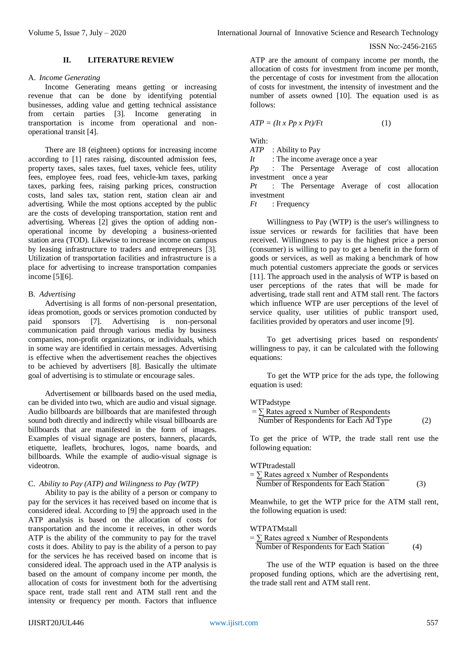## **II. LITERATURE REVIEW**

## A. *Income Generating*

Income Generating means getting or increasing revenue that can be done by identifying potential businesses, adding value and getting technical assistance from certain parties [3]. Income generating in transportation is income from operational and nonoperational transit [4].

There are 18 (eighteen) options for increasing income according to [1] rates raising, discounted admission fees, property taxes, sales taxes, fuel taxes, vehicle fees, utility fees, employee fees, road fees, vehicle-km taxes, parking taxes, parking fees, raising parking prices, construction costs, land sales tax, station rent, station clean air and advertising. While the most options accepted by the public are the costs of developing transportation, station rent and advertising. Whereas [2] gives the option of adding nonoperational income by developing a business-oriented station area (TOD). Likewise to increase income on campus by leasing infrastructure to traders and entrepreneurs [3]. Utilization of transportation facilities and infrastructure is a place for advertising to increase transportation companies income [5][6].

## B. *Advertising*

Advertising is all forms of non-personal presentation, ideas promotion, goods or services promotion conducted by paid sponsors [7]. Advertising is non-personal communication paid through various media by business companies, non-profit organizations, or individuals, which in some way are identified in certain messages. Advertising is effective when the advertisement reaches the objectives to be achieved by advertisers [8]. Basically the ultimate goal of advertising is to stimulate or encourage sales.

Advertisement or billboards based on the used media, can be divided into two, which are audio and visual signage. Audio billboards are billboards that are manifested through sound both directly and indirectly while visual billboards are billboards that are manifested in the form of images. Examples of visual signage are posters, banners, placards, etiquette, leaflets, brochures, logos, name boards, and billboards. While the example of audio-visual signage is videotron.

## C. *Ability to Pay (ATP) and Wilingness to Pay (WTP)*

Ability to pay is the ability of a person or company to pay for the services it has received based on income that is considered ideal. According to [9] the approach used in the ATP analysis is based on the allocation of costs for transportation and the income it receives, in other words ATP is the ability of the community to pay for the travel costs it does. Ability to pay is the ability of a person to pay for the services he has received based on income that is considered ideal. The approach used in the ATP analysis is based on the amount of company income per month, the allocation of costs for investment both for the advertising space rent, trade stall rent and ATM stall rent and the intensity or frequency per month. Factors that influence

ATP are the amount of company income per month, the allocation of costs for investment from income per month, the percentage of costs for investment from the allocation of costs for investment, the intensity of investment and the number of assets owned [10]. The equation used is as follows:

$$
ATP = (It \, x \, Pp \, x \, Pt)/Ft \tag{1}
$$

With:

*ATP* : Ability to Pay

*It* : The income average once a year

*Pp* : The Persentage Average of cost allocation investment once a year

*Pt* : The Persentage Average of cost allocation investment

*Ft* : Frequency

Willingness to Pay (WTP) is the user's willingness to issue services or rewards for facilities that have been received. Willingness to pay is the highest price a person (consumer) is willing to pay to get a benefit in the form of goods or services, as well as making a benchmark of how much potential customers appreciate the goods or services [11]. The approach used in the analysis of WTP is based on user perceptions of the rates that will be made for advertising, trade stall rent and ATM stall rent. The factors which influence WTP are user perceptions of the level of service quality, user utilities of public transport used, facilities provided by operators and user income [9].

To get advertising prices based on respondents' willingness to pay, it can be calculated with the following equations:

To get the WTP price for the ads type, the following equation is used:

#### WTPadstype

| $=$ $\sum$ Rates agreed x Number of Respondents |     |
|-------------------------------------------------|-----|
| Number of Respondents for Each Ad Type          | (2) |

To get the price of WTP, the trade stall rent use the following equation:

#### WTPtradestall

 $= \sum$  Rates agreed x Number of Respondents Number of Respondents for Each Station (3)

Meanwhile, to get the WTP price for the ATM stall rent, the following equation is used:

#### WTPATMstall

| $= \sum$ Rates agreed x Number of Respondents |     |
|-----------------------------------------------|-----|
| Number of Respondents for Each Station        | (4) |

The use of the WTP equation is based on the three proposed funding options, which are the advertising rent, the trade stall rent and ATM stall rent.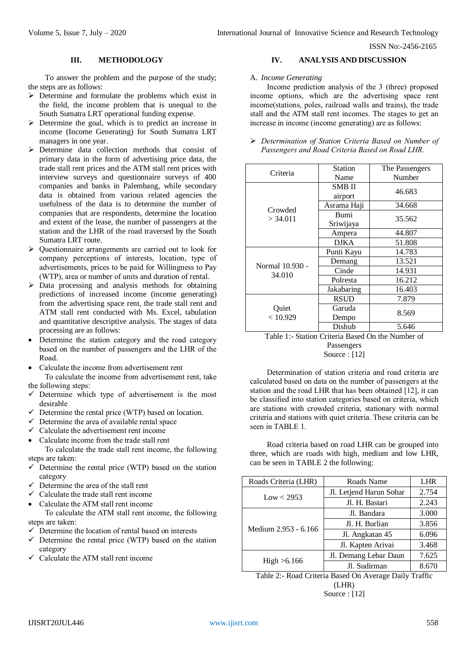## **III. METHODOLOGY**

To answer the problem and the purpose of the study; the steps are as follows:

- $\triangleright$  Determine and formulate the problems which exist in the field, the income problem that is unequal to the South Sumatra LRT operational funding expense.
- $\triangleright$  Determine the goal, which is to predict an increase in income (Income Generating) for South Sumatra LRT managers in one year.
- Determine data collection methods that consist of primary data in the form of advertising price data, the trade stall rent prices and the ATM stall rent prices with interview surveys and questionnaire surveys of 400 companies and banks in Palembang, while secondary data is obtained from various related agencies the usefulness of the data is to determine the number of companies that are respondents, determine the location and extent of the lease, the number of passengers at the station and the LHR of the road traversed by the South Sumatra LRT route.
- Questionnaire arrangements are carried out to look for company perceptions of interests, location, type of advertisements, prices to be paid for Willingness to Pay (WTP), area or number of units and duration of rental.
- $\triangleright$  Data processing and analysis methods for obtaining predictions of increased income (income generating) from the advertising space rent, the trade stall rent and ATM stall rent conducted with Ms. Excel, tabulation and quantitative descriptive analysis. The stages of data processing are as follows:
- Determine the station category and the road category based on the number of passengers and the LHR of the Road.
- Calculate the income from advertisement rent To calculate the income from advertisement rent, take

the following steps:

- $\checkmark$  Determine which type of advertisement is the most desirable
- $\checkmark$  Determine the rental price (WTP) based on location.
- $\checkmark$  Determine the area of available rental space
- $\checkmark$  Calculate the advertisement rent income
- Calculate income from the trade stall rent

To calculate the trade stall rent income, the following steps are taken:

- $\checkmark$  Determine the rental price (WTP) based on the station category
- $\checkmark$  Determine the area of the stall rent
- $\checkmark$  Calculate the trade stall rent income
- Calculate the ATM stall rent income

To calculate the ATM stall rent income, the following steps are taken:

- $\checkmark$  Determine the location of rental based on interests
- $\checkmark$  Determine the rental price (WTP) based on the station category
- $\checkmark$  Calculate the ATM stall rent income

# **IV. ANALYSIS AND DISCUSSION**

# A. *Income Generating*

Income prediction analysis of the 3 (three) proposed income options, which are the advertising space rent income(stations, poles, railroad walls and trains), the trade stall and the ATM stall rent incomes. The stages to get an increase in income (income generating) are as follows:

| $\triangleright$ Determination of Station Criteria Based on Number of |
|-----------------------------------------------------------------------|
| Passengers and Road Criteria Based on Road LHR.                       |

| Criteria        | Station     | The Passengers |  |
|-----------------|-------------|----------------|--|
|                 | Name        | Number         |  |
|                 | SMB II      | 46.683         |  |
|                 | airport     |                |  |
| Crowded         | Asrama Haji | 34.668         |  |
| $>$ 34.011      | <b>Bumi</b> | 35.562         |  |
|                 | Sriwijaya   |                |  |
|                 | Ampera      | 44.807         |  |
|                 | DIKA        | 51.808         |  |
|                 | Punti Kayu  | 14.783         |  |
| Normal 10.930 - | Demang      | 13.521         |  |
| 34.010          | Cinde       | 14.931         |  |
|                 | Polresta    | 16.212         |  |
|                 | Jakabaring  | 16.403         |  |
|                 | <b>RSUD</b> | 7.879          |  |
| Quiet           | Garuda      | 8.569          |  |
| < 10.929        | Dempo       |                |  |
|                 | Dishub      | 5.646          |  |

Table 1:- Station Criteria Based On the Number of Passengers Source : [12]

Determination of station criteria and road criteria are calculated based on data on the number of passengers at the station and the road LHR that has been obtained [12], it can be classified into station categories based on criteria, which are stations with crowded criteria, stationary with normal criteria and stations with quiet criteria. These criteria can be seen in TABLE 1.

Road criteria based on road LHR can be grouped into three, which are roads with high, medium and low LHR, can be seen in TABLE 2 the following:

| Roads Criteria (LHR) | Roads Name              | <b>LHR</b> |
|----------------------|-------------------------|------------|
| Low < 2953           | Jl. Letjend Harun Sohar | 2.754      |
|                      | Jl. H. Bastari          | 2.243      |
| Medium 2.953 - 6.166 | Jl. Bandara             | 3.000      |
|                      | Jl. H. Burlian          | 3.856      |
|                      | Jl. Angkatan 45         | 6.096      |
|                      | Jl. Kapten Arivai       | 3.468      |
| High > 6.166         | Jl. Demang Lebar Daun   | 7.625      |
|                      | Jl. Sudirman            | 8.670      |

Table 2:- Road Criteria Based On Average Daily Traffic

(LHR)

Source : [12]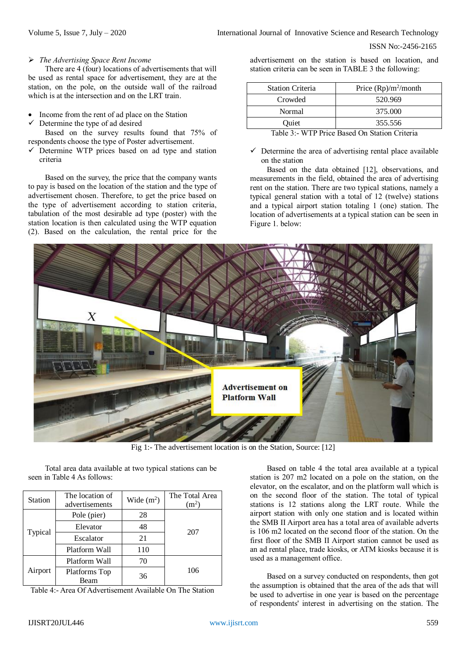# *The Advertising Space Rent Income*

There are 4 (four) locations of advertisements that will be used as rental space for advertisement, they are at the station, on the pole, on the outside wall of the railroad which is at the intersection and on the LRT train.

- Income from the rent of ad place on the Station
- Determine the type of ad desired

Based on the survey results found that 75% of respondents choose the type of Poster advertisement.

 $\checkmark$  Determine WTP prices based on ad type and station criteria

Based on the survey, the price that the company wants to pay is based on the location of the station and the type of advertisement chosen. Therefore, to get the price based on the type of advertisement according to station criteria, tabulation of the most desirable ad type (poster) with the station location is then calculated using the WTP equation (2). Based on the calculation, the rental price for the

advertisement on the station is based on location, and station criteria can be seen in TABLE 3 the following:

| <b>Station Criteria</b> | Price $(Rp)/m^2$ /month       |
|-------------------------|-------------------------------|
| Crowded                 | 520.969                       |
| Normal                  | 375.000                       |
| Ouiet                   | 355.556                       |
| _ _ _ _                 | .<br>$\overline{\phantom{a}}$ |

Table 3:- WTP Price Based On Station Criteria

 $\checkmark$  Determine the area of advertising rental place available on the station

Based on the data obtained [12], observations, and measurements in the field, obtained the area of advertising rent on the station. There are two typical stations, namely a typical general station with a total of 12 (twelve) stations and a typical airport station totaling 1 (one) station. The location of advertisements at a typical station can be seen in Figure 1. below:



Fig 1:- The advertisement location is on the Station, Source: [12]

Total area data available at two typical stations can be seen in Table 4 As follows:

| Station | The location of<br>advertisements | Wide $(m2)$ | The Total Area<br>(m <sup>2</sup> ) |
|---------|-----------------------------------|-------------|-------------------------------------|
|         | Pole (pier)                       | 28          |                                     |
|         | Elevator                          | 48          | 207                                 |
| Typical | Escalator                         | 21          |                                     |
|         | Platform Wall                     | 110         |                                     |
|         | Platform Wall                     | 70          |                                     |
| Airport | Platforms Top<br>Beam             | 36          | 106                                 |

Table 4:- Area Of Advertisement Available On The Station

Based on table 4 the total area available at a typical station is 207 m2 located on a pole on the station, on the elevator, on the escalator, and on the platform wall which is on the second floor of the station. The total of typical stations is 12 stations along the LRT route. While the airport station with only one station and is located within the SMB II Airport area has a total area of available adverts is 106 m2 located on the second floor of the station. On the first floor of the SMB II Airport station cannot be used as an ad rental place, trade kiosks, or ATM kiosks because it is used as a management office.

Based on a survey conducted on respondents, then got the assumption is obtained that the area of the ads that will be used to advertise in one year is based on the percentage of respondents' interest in advertising on the station. The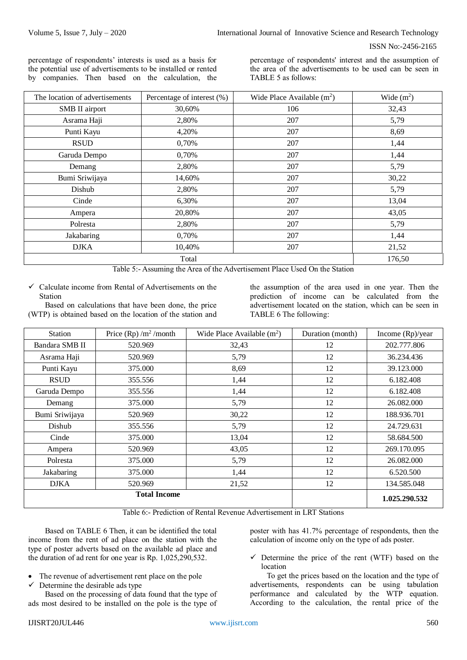percentage of respondents' interests is used as a basis for the potential use of advertisements to be installed or rented by companies. Then based on the calculation, the percentage of respondents' interest and the assumption of the area of the advertisements to be used can be seen in TABLE 5 as follows:

| The location of advertisements | Percentage of interest (%) | Wide Place Available $(m2)$ | Wide $(m2)$ |
|--------------------------------|----------------------------|-----------------------------|-------------|
| SMB II airport                 | 30,60%                     | 106                         | 32,43       |
| Asrama Haji                    | 2,80%                      | 207                         | 5,79        |
| Punti Kayu                     | 4,20%                      | 207                         | 8,69        |
| <b>RSUD</b>                    | 0,70%                      | 207                         | 1,44        |
| Garuda Dempo                   | 0,70%                      | 207                         | 1,44        |
| Demang                         | 2,80%                      | 207                         | 5,79        |
| Bumi Sriwijaya                 | 14,60%                     | 207                         | 30,22       |
| Dishub                         | 2,80%                      | 207                         | 5,79        |
| Cinde                          | 6,30%                      | 207                         | 13,04       |
| Ampera                         | 20,80%                     | 207                         | 43,05       |
| Polresta                       | 2,80%                      | 207                         | 5,79        |
| Jakabaring                     | 0,70%                      | 207                         | 1,44        |
| <b>DJKA</b>                    | 10,40%                     | 207                         | 21,52       |
|                                | Total                      |                             | 176,50      |

Table 5:- Assuming the Area of the Advertisement Place Used On the Station

 $\checkmark$  Calculate income from Rental of Advertisements on the Station

Based on calculations that have been done, the price (WTP) is obtained based on the location of the station and

the assumption of the area used in one year. Then the prediction of income can be calculated from the advertisement located on the station, which can be seen in TABLE 6 The following:

| <b>Station</b> | Price $(Rp)/m^2$ /month | Wide Place Available $(m^2)$ | Duration (month) | Income (Rp)/year |
|----------------|-------------------------|------------------------------|------------------|------------------|
| Bandara SMB II | 520.969                 | 32,43                        | 12               | 202.777.806      |
| Asrama Haji    | 520.969                 | 5,79                         | 12               | 36.234.436       |
| Punti Kayu     | 375.000                 | 8,69                         | 12               | 39.123.000       |
| <b>RSUD</b>    | 355.556                 | 1,44                         | 12               | 6.182.408        |
| Garuda Dempo   | 355.556                 | 1,44                         | 12               | 6.182.408        |
| Demang         | 375.000                 | 5,79                         | 12               | 26.082.000       |
| Bumi Sriwijaya | 520.969                 | 30,22                        | 12               | 188.936.701      |
| Dishub         | 355.556                 | 5,79                         | 12               | 24.729.631       |
| Cinde          | 375.000                 | 13,04                        | 12               | 58.684.500       |
| Ampera         | 520.969                 | 43,05                        | 12               | 269.170.095      |
| Polresta       | 375.000                 | 5,79                         | 12               | 26.082.000       |
| Jakabaring     | 375.000                 | 1,44                         | 12               | 6.520.500        |
| <b>DJKA</b>    | 520.969                 | 21,52                        | 12               | 134.585.048      |
|                | <b>Total Income</b>     |                              |                  | 1.025.290.532    |

Table 6:- Prediction of Rental Revenue Advertisement in LRT Stations

Based on TABLE 6 Then, it can be identified the total income from the rent of ad place on the station with the type of poster adverts based on the available ad place and the duration of ad rent for one year is Rp. 1,025,290,532.

- The revenue of advertisement rent place on the pole
- $\checkmark$  Determine the desirable ads type

Based on the processing of data found that the type of ads most desired to be installed on the pole is the type of poster with has 41.7% percentage of respondents, then the calculation of income only on the type of ads poster.

 $\checkmark$  Determine the price of the rent (WTF) based on the location

To get the prices based on the location and the type of advertisements, respondents can be using tabulation performance and calculated by the WTP equation. According to the calculation, the rental price of the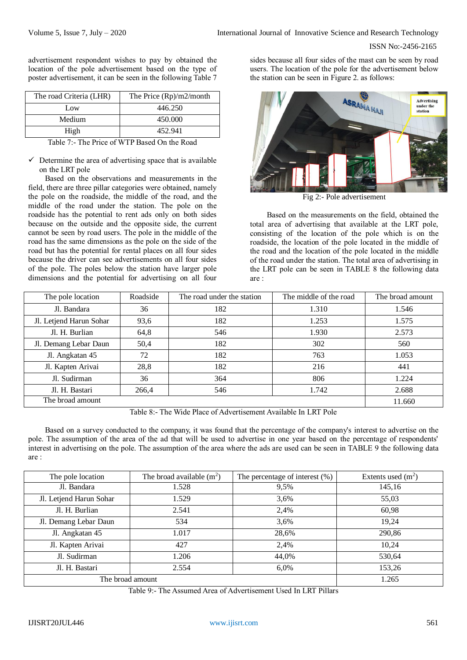advertisement respondent wishes to pay by obtained the location of the pole advertisement based on the type of poster advertisement, it can be seen in the following Table 7

| The road Criteria (LHR) | The Price $(Rp)/m2/m$ onth |
|-------------------------|----------------------------|
| Low                     | 446.250                    |
| Medium                  | 450.000                    |
| High                    | 452.941                    |

Table 7:- The Price of WTP Based On the Road

 $\checkmark$  Determine the area of advertising space that is available on the LRT pole

Based on the observations and measurements in the field, there are three pillar categories were obtained, namely the pole on the roadside, the middle of the road, and the middle of the road under the station. The pole on the roadside has the potential to rent ads only on both sides because on the outside and the opposite side, the current cannot be seen by road users. The pole in the middle of the road has the same dimensions as the pole on the side of the road but has the potential for rental places on all four sides because the driver can see advertisements on all four sides of the pole. The poles below the station have larger pole dimensions and the potential for advertising on all four

sides because all four sides of the mast can be seen by road users. The location of the pole for the advertisement below the station can be seen in Figure 2. as follows:



Fig 2:- Pole advertisement

Based on the measurements on the field, obtained the total area of advertising that available at the LRT pole, consisting of the location of the pole which is on the roadside, the location of the pole located in the middle of the road and the location of the pole located in the middle of the road under the station. The total area of advertising in the LRT pole can be seen in TABLE 8 the following data are :

| The pole location       | Roadside | The road under the station | The middle of the road | The broad amount |
|-------------------------|----------|----------------------------|------------------------|------------------|
| Jl. Bandara             | 36       | 182                        | 1.310                  | 1.546            |
| Jl. Letjend Harun Sohar | 93,6     | 182                        | 1.253                  | 1.575            |
| Jl. H. Burlian          | 64,8     | 546                        | 1.930                  | 2.573            |
| Jl. Demang Lebar Daun   | 50,4     | 182                        | 302                    | 560              |
| Jl. Angkatan 45         | 72       | 182                        | 763                    | 1.053            |
| Jl. Kapten Arivai       | 28,8     | 182                        | 216                    | 441              |
| Jl. Sudirman            | 36       | 364                        | 806                    | 1.224            |
| Jl. H. Bastari          | 266,4    | 546                        | 1.742                  | 2.688            |
| The broad amount        |          |                            |                        | 11.660           |

Table 8:- The Wide Place of Advertisement Available In LRT Pole

Based on a survey conducted to the company, it was found that the percentage of the company's interest to advertise on the pole. The assumption of the area of the ad that will be used to advertise in one year based on the percentage of respondents' interest in advertising on the pole. The assumption of the area where the ads are used can be seen in TABLE 9 the following data are :

| The pole location       | The broad available $(m^2)$ | The percentage of interest $(\%)$ | Extents used $(m2)$ |
|-------------------------|-----------------------------|-----------------------------------|---------------------|
| Jl. Bandara             | 1.528                       | 9,5%                              | 145,16              |
| Jl. Letjend Harun Sohar | 1.529                       | 3,6%                              | 55,03               |
| Jl. H. Burlian          | 2.541                       | 2,4%                              | 60,98               |
| Jl. Demang Lebar Daun   | 534                         | 3,6%                              | 19,24               |
| Jl. Angkatan 45         | 1.017                       | 28,6%                             | 290,86              |
| Jl. Kapten Arivai       | 427                         | 2,4%                              | 10,24               |
| Jl. Sudirman            | 1.206                       | 44,0%                             | 530,64              |
| Jl. H. Bastari          | 2.554                       | 6,0%                              | 153,26              |
| The broad amount        |                             |                                   | 1.265               |

Table 9:- The Assumed Area of Advertisement Used In LRT Pillars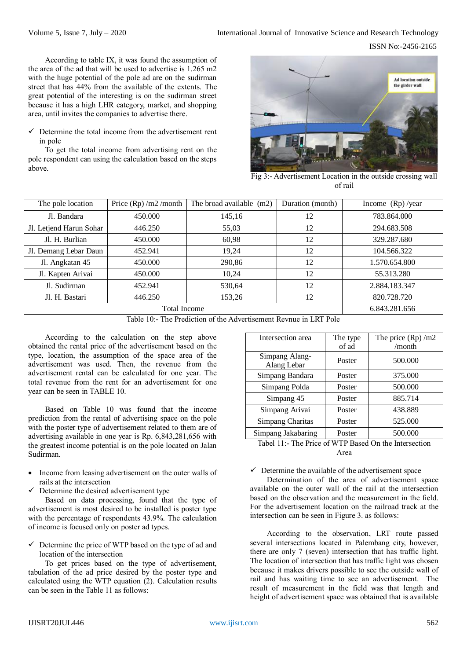According to table IX, it was found the assumption of the area of the ad that will be used to advertise is 1.265 m2 with the huge potential of the pole ad are on the sudirman street that has 44% from the available of the extents. The great potential of the interesting is on the sudirman street because it has a high LHR category, market, and shopping area, until invites the companies to advertise there.

 $\checkmark$  Determine the total income from the advertisement rent in pole

To get the total income from advertising rent on the pole respondent can using the calculation based on the steps above.



Fig 3:- Advertisement Location in the outside crossing wall of rail

| The pole location       | Price $(Rp)$ /m2 /month | The broad available (m2) | Duration (month) | Income $(Rp)/year$ |
|-------------------------|-------------------------|--------------------------|------------------|--------------------|
| Jl. Bandara             | 450.000                 | 145,16                   | 12               | 783.864.000        |
| Jl. Letjend Harun Sohar | 446.250                 | 55,03                    | 12               | 294.683.508        |
| Jl. H. Burlian          | 450.000                 | 60,98                    | 12               | 329.287.680        |
| Jl. Demang Lebar Daun   | 452.941                 | 19,24                    | 12               | 104.566.322        |
| Jl. Angkatan 45         | 450.000                 | 290,86                   | 12               | 1.570.654.800      |
| Jl. Kapten Arivai       | 450.000                 | 10,24                    | 12               | 55.313.280         |
| Jl. Sudirman            | 452.941                 | 530,64                   | 12               | 2.884.183.347      |
| Jl. H. Bastari          | 446.250                 | 153,26                   | 12               | 820.728.720        |
|                         | 6.843.281.656           |                          |                  |                    |

Table 10:- The Prediction of the Advertisement Revnue in LRT Pole

According to the calculation on the step above obtained the rental price of the advertisement based on the type, location, the assumption of the space area of the advertisement was used. Then, the revenue from the advertisement rental can be calculated for one year. The total revenue from the rent for an advertisement for one year can be seen in TABLE 10.

Based on Table 10 was found that the income prediction from the rental of advertising space on the pole with the poster type of advertisement related to them are of advertising available in one year is Rp. 6,843,281,656 with the greatest income potential is on the pole located on Jalan Sudirman.

- Income from leasing advertisement on the outer walls of rails at the intersection
- $\checkmark$  Determine the desired advertisement type

Based on data processing, found that the type of advertisement is most desired to be installed is poster type with the percentage of respondents 43.9%. The calculation of income is focused only on poster ad types.

 $\checkmark$  Determine the price of WTP based on the type of ad and location of the intersection

To get prices based on the type of advertisement, tabulation of the ad price desired by the poster type and calculated using the WTP equation (2). Calculation results can be seen in the Table 11 as follows:

| Intersection area             | The type | The price $(Rp)$ /m2 |
|-------------------------------|----------|----------------------|
|                               | of ad    | /month               |
| Simpang Alang-<br>Alang Lebar | Poster   | 500.000              |
| Simpang Bandara               | Poster   | 375.000              |
| Simpang Polda                 | Poster   | 500.000              |
| Simpang 45                    | Poster   | 885.714              |
| Simpang Arivai                | Poster   | 438.889              |
| Simpang Charitas              | Poster   | 525.000              |
| Simpang Jakabaring            | Poster   | 500.000              |

Tabel 11:- The Price of WTP Based On the Intersection Area

 $\checkmark$  Determine the available of the advertisement space

Determination of the area of advertisement space available on the outer wall of the rail at the intersection based on the observation and the measurement in the field. For the advertisement location on the railroad track at the intersection can be seen in Figure 3. as follows:

According to the observation, LRT route passed several intersections located in Palembang city, however, there are only 7 (seven) intersection that has traffic light. The location of intersection that has traffic light was chosen because it makes drivers possible to see the outside wall of rail and has waiting time to see an advertisement. The result of measurement in the field was that length and height of advertisement space was obtained that is available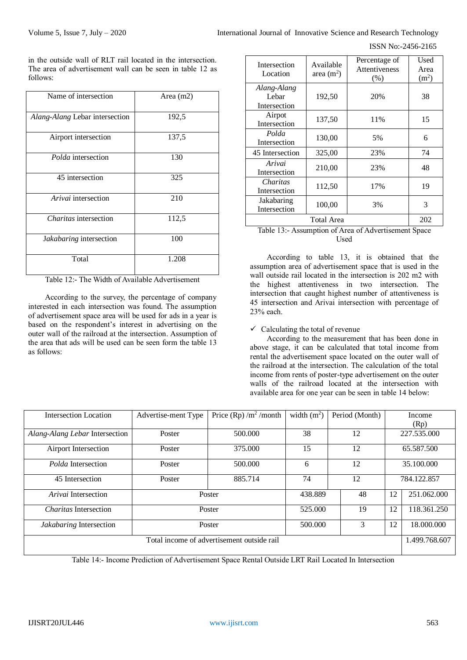in the outside wall of RLT rail located in the intersection. The area of advertisement wall can be seen in table 12 as follows:

| Name of intersection           | Area $(m2)$ |
|--------------------------------|-------------|
| Alang-Alang Lebar intersection | 192,5       |
| Airport intersection           | 137,5       |
| Polda intersection             | 130         |
| 45 intersection                | 325         |
| Arivai intersection            | 210         |
| <i>Charitas</i> intersection   | 112,5       |
| Jakabaring intersection        | 100         |
| Total                          | 1.208       |

Table 12:- The Width of Available Advertisement

According to the survey, the percentage of company interested in each intersection was found. The assumption of advertisement space area will be used for ads in a year is based on the respondent's interest in advertising on the outer wall of the railroad at the intersection. Assumption of the area that ads will be used can be seen form the table 13 as follows:

| Intersection<br>Location             | Available<br>area $(m2)$ | Percentage of<br><b>Attentiveness</b><br>(% ) | Used<br>Area<br>(m <sup>2</sup> ) |
|--------------------------------------|--------------------------|-----------------------------------------------|-----------------------------------|
| Alang-Alang<br>Lebar<br>Intersection | 192,50                   | 20%                                           | 38                                |
| Airpot<br>Intersection               | 137,50                   | 11%                                           | 15                                |
| Polda<br>Intersection                | 130,00                   | 5%                                            | 6                                 |
| 45 Intersection                      | 325,00                   | 23%                                           | 74                                |
| Arivai<br>Intersection               | 210,00                   | 23%                                           | 48                                |
| Charitas<br>Intersection             | 112,50                   | 17%                                           | 19                                |
| Jakabaring<br>Intersection           | 100,00                   | 3%                                            | 3                                 |
|                                      | <b>Total Area</b>        |                                               | 202                               |

# Table 13:- Assumption of Area of Advertisement Space Used

According to table 13, it is obtained that the assumption area of advertisement space that is used in the wall outside rail located in the intersection is 202 m2 with the highest attentiveness in two intersection. The intersection that caught highest number of attentiveness is 45 intersection and Arivai intersection with percentage of 23% each.

# $\checkmark$  Calculating the total of revenue

According to the measurement that has been done in above stage, it can be calculated that total income from rental the advertisement space located on the outer wall of the railroad at the intersection. The calculation of the total income from rents of poster-type advertisement on the outer walls of the railroad located at the intersection with available area for one year can be seen in table 14 below:

| Intersection Location                                       | Advertise-ment Type | Price $(Rp)$ /m <sup>2</sup> /month | width $(m^2)$ | Period (Month) |            | Income      |
|-------------------------------------------------------------|---------------------|-------------------------------------|---------------|----------------|------------|-------------|
|                                                             |                     |                                     |               |                |            | (Rp)        |
| Alang-Alang Lebar Intersection                              | Poster              | 500.000                             | 38            | 12             |            | 227.535.000 |
| Airport Intersection                                        | Poster              | 375.000                             | 15            | 12             |            | 65.587.500  |
| <i>Polda</i> Intersection                                   | Poster              | 500.000                             | 6             | 12             |            | 35,100,000  |
| 45 Intersection                                             | Poster              | 885.714                             | 74            | 12             |            | 784.122.857 |
| Arivai Intersection                                         |                     | Poster                              | 438.889       | 48             | 12         | 251.062.000 |
| <i>Charitas</i> Intersection                                | Poster              |                                     | 525.000       | 19             | 12         | 118.361.250 |
| <i>Jakabaring</i> Intersection                              | Poster              | 500.000                             | 3             | 12             | 18,000,000 |             |
| Total income of advertisement outside rail<br>1.499.768.607 |                     |                                     |               |                |            |             |

Table 14:- Income Prediction of Advertisement Space Rental Outside LRT Rail Located In Intersection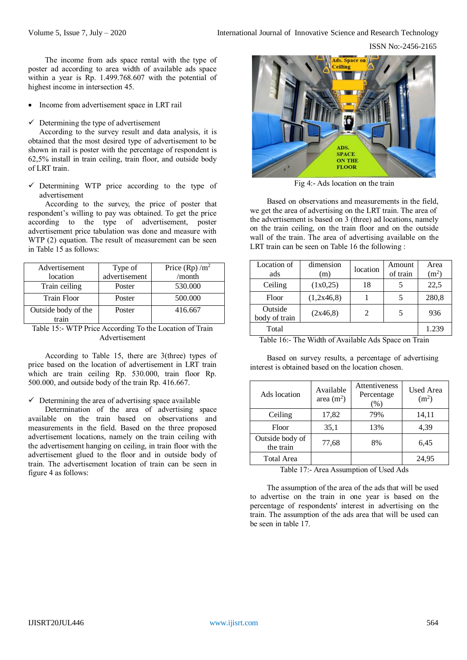ISSN No:-2456-2165

The income from ads space rental with the type of poster ad according to area width of available ads space within a year is Rp. 1.499.768.607 with the potential of highest income in intersection 45.

- Income from advertisement space in LRT rail
- $\checkmark$  Determining the type of advertisement

According to the survey result and data analysis, it is obtained that the most desired type of advertisement to be shown in rail is poster with the percentage of respondent is 62,5% install in train ceiling, train floor, and outside body of LRT train.

 $\checkmark$  Determining WTP price according to the type of advertisement

According to the survey, the price of poster that respondent's willing to pay was obtained. To get the price according to the type of advertisement, poster advertisement price tabulation was done and measure with WTP (2) equation. The result of measurement can be seen in Table 15 as follows:

| Advertisement       | Type of       | Price (Rp) $/m^2$ |
|---------------------|---------------|-------------------|
| location            | advertisement | /month            |
| Train ceiling       | Poster        | 530.000           |
| <b>Train Floor</b>  | Poster        | 500.000           |
| Outside body of the | Poster        | 416.667           |
| train               |               |                   |

Table 15:- WTP Price According To the Location of Train Advertisement

According to Table 15, there are 3(three) types of price based on the location of advertisement in LRT train which are train ceiling Rp. 530.000, train floor Rp. 500.000, and outside body of the train Rp. 416.667.

 $\checkmark$  Determining the area of advertising space available

Determination of the area of advertising space available on the train based on observations and measurements in the field. Based on the three proposed advertisement locations, namely on the train ceiling with the advertisement hanging on ceiling, in train floor with the advertisement glued to the floor and in outside body of train. The advertisement location of train can be seen in figure 4 as follows:



Fig 4:- Ads location on the train

Based on observations and measurements in the field, we get the area of advertising on the LRT train. The area of the advertisement is based on 3 (three) ad locations, namely on the train ceiling, on the train floor and on the outside wall of the train. The area of advertising available on the LRT train can be seen on Table 16 the following :

| Location of<br>ads       | dimension<br>(m) | location | Amount<br>of train | Area<br>(m <sup>2</sup> ) |  |
|--------------------------|------------------|----------|--------------------|---------------------------|--|
| Ceiling                  | (1x0,25)         | 18       |                    | 22,5                      |  |
| Floor                    | (1,2x46,8)       |          | 5                  | 280,8                     |  |
| Outside<br>body of train | (2x46,8)         | 2        | 5                  | 936                       |  |
| Total<br>1.239           |                  |          |                    |                           |  |

Table 16:- The Width of Available Ads Space on Train

Based on survey results, a percentage of advertising interest is obtained based on the location chosen.

| Ads location                 | Available<br>area $(m2)$ | Attentiveness<br>Percentage<br>(% ) | <b>Used Area</b><br>(m <sup>2</sup> ) |
|------------------------------|--------------------------|-------------------------------------|---------------------------------------|
| Ceiling                      | 17,82                    | 79%                                 | 14,11                                 |
| Floor                        | 35,1                     | 13%                                 | 4,39                                  |
| Outside body of<br>the train | 77,68                    | 8%                                  | 6,45                                  |
| <b>Total Area</b>            |                          |                                     | 24,95                                 |

Table 17:- Area Assumption of Used Ads

The assumption of the area of the ads that will be used to advertise on the train in one year is based on the percentage of respondents' interest in advertising on the train. The assumption of the ads area that will be used can be seen in table 17.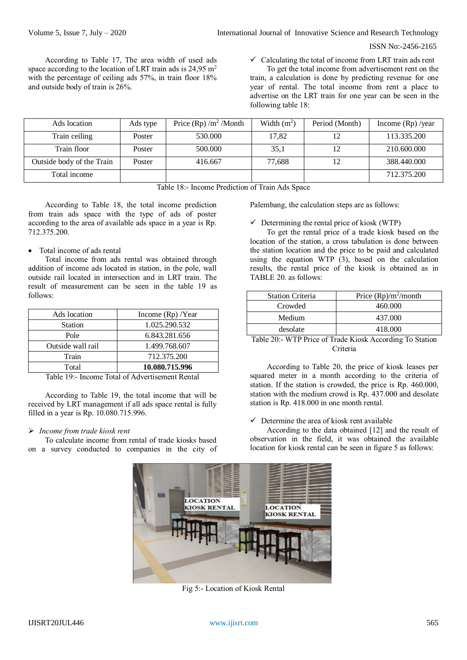According to Table 17, The area width of used ads space according to the location of LRT train ads is 24,95 m<sup>2</sup> with the percentage of ceiling ads 57%, in train floor 18% and outside body of train is 26%.

 $\checkmark$  Calculating the total of income from LRT train ads rent

To get the total income from advertisement rent on the train, a calculation is done by predicting revenue for one year of rental. The total income from rent a place to advertise on the LRT train for one year can be seen in the following table 18:

| Ads location              | Ads type | Price $(Rp) / m2 / Month$ | Width $(m^2)$ | Period (Month) | Income $(Rp)$ /year |
|---------------------------|----------|---------------------------|---------------|----------------|---------------------|
| Train ceiling             | Poster   | 530,000                   | 17.82         |                | 113.335.200         |
| Train floor               | Poster   | 500,000                   | 35,1          |                | 210.600.000         |
| Outside body of the Train | Poster   | 416.667                   | 77,688        |                | 388.440.000         |
| Total income              |          |                           |               |                | 712.375.200         |

Table 18:- Income Prediction of Train Ads Space

According to Table 18, the total income prediction from train ads space with the type of ads of poster according to the area of available ads space in a year is Rp. 712.375.200.

# Total income of ads rental

Total income from ads rental was obtained through addition of income ads located in station, in the pole, wall outside rail located in intersection and in LRT train. The result of measurement can be seen in the table 19 as follows:

| Ads location      | Income $(Rp)$ /Year |
|-------------------|---------------------|
| <b>Station</b>    | 1.025.290.532       |
| Pole              | 6.843.281.656       |
| Outside wall rail | 1.499.768.607       |
| Train             | 712.375.200         |
| Total             | 10.080.715.996      |

Table 19:- Income Total of Advertisement Rental

According to Table 19, the total income that will be received by LRT management if all ads space rental is fully filled in a year is Rp. 10.080.715.996.

## *Income from trade kiosk rent*

To calculate income from rental of trade kiosks based on a survey conducted to companies in the city of Palembang, the calculation steps are as follows:

 $\checkmark$  Determining the rental price of kiosk (WTP)

To get the rental price of a trade kiosk based on the location of the station, a cross tabulation is done between the station location and the price to be paid and calculated using the equation WTP (3), based on the calculation results, the rental price of the kiosk is obtained as in TABLE 20. as follows:

| <b>Station Criteria</b> | Price $(Rp)/m^2$ /month |
|-------------------------|-------------------------|
| Crowded                 | 460.000                 |
| Medium                  | 437.000                 |
| desolate                | 418.000                 |

Table 20:- WTP Price of Trade Kiosk According To Station Criteria

According to Table 20, the price of kiosk leases per squared meter in a month according to the criteria of station. If the station is crowded, the price is Rp. 460.000, station with the medium crowd is Rp. 437.000 and desolate station is Rp. 418.000 in one month rental.

#### $\checkmark$  Determine the area of kiosk rent available

According to the data obtained [12] and the result of observation in the field, it was obtained the available location for kiosk rental can be seen in figure 5 as follows:



Fig 5:- Location of Kiosk Rental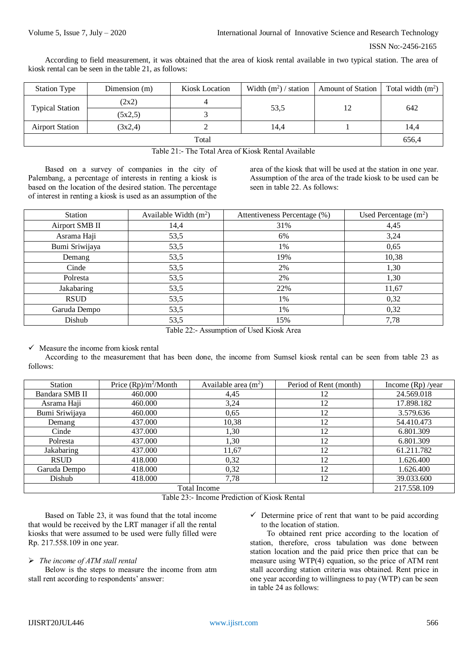According to field measurement, it was obtained that the area of kiosk rental available in two typical station. The area of kiosk rental can be seen in the table 21, as follows:

| <b>Station Type</b>    | Dimension (m) | Kiosk Location | Width $(m^2)$ / station | <b>Amount of Station</b> | Total width $(m^2)$ |
|------------------------|---------------|----------------|-------------------------|--------------------------|---------------------|
| <b>Typical Station</b> | (2x2)         |                | 53,5                    | 12                       | 642                 |
|                        | (5x2,5)       |                |                         |                          |                     |
| <b>Airport Station</b> | (3x2,4)       |                | 14,4                    |                          | 14,4                |
| Total                  |               |                |                         |                          | 656,4               |

Table 21:- The Total Area of Kiosk Rental Available

Based on a survey of companies in the city of Palembang, a percentage of interests in renting a kiosk is based on the location of the desired station. The percentage of interest in renting a kiosk is used as an assumption of the

area of the kiosk that will be used at the station in one year. Assumption of the area of the trade kiosk to be used can be seen in table 22. As follows:

| Station        | Available Width $(m^2)$ | Attentiveness Percentage (%) | Used Percentage $(m2)$ |
|----------------|-------------------------|------------------------------|------------------------|
| Airport SMB II | 14,4                    | 31%                          | 4,45                   |
| Asrama Haji    | 53,5                    | 6%                           | 3,24                   |
| Bumi Sriwijaya | 53,5                    | 1%                           | 0,65                   |
| Demang         | 53,5                    | 19%                          | 10,38                  |
| Cinde          | 53,5                    | 2%                           | 1,30                   |
| Polresta       | 53,5                    | 2%                           | 1,30                   |
| Jakabaring     | 53,5                    | 22%                          | 11,67                  |
| <b>RSUD</b>    | 53,5                    | 1%                           | 0,32                   |
| Garuda Dempo   | 53,5                    | 1%                           | 0,32                   |
| Dishub         | 53,5                    | 15%                          | 7,78                   |

Table 22:- Assumption of Used Kiosk Area

 $\checkmark$  Measure the income from kiosk rental

According to the measurement that has been done, the income from Sumsel kiosk rental can be seen from table 23 as follows:

| Station             | Price $(Rp)/m^2/M$ onth | Available area $(m2)$ | Period of Rent (month) | Income $(Rp)$ /year |
|---------------------|-------------------------|-----------------------|------------------------|---------------------|
| Bandara SMB II      | 460.000                 | 4,45                  | 12                     | 24.569.018          |
| Asrama Haji         | 460.000                 | 3,24                  | 12                     | 17.898.182          |
| Bumi Sriwijaya      | 460.000                 | 0.65                  | 12                     | 3.579.636           |
| Demang              | 437.000                 | 10,38                 | 12                     | 54.410.473          |
| Cinde               | 437.000                 | 1,30                  | 12                     | 6.801.309           |
| Polresta            | 437.000                 | 1,30                  | 12                     | 6.801.309           |
| Jakabaring          | 437.000                 | 11,67                 | 12                     | 61.211.782          |
| <b>RSUD</b>         | 418.000                 | 0,32                  | 12                     | 1.626.400           |
| Garuda Dempo        | 418.000                 | 0.32                  | 12                     | 1.626.400           |
| Dishub              | 418.000                 | 7,78                  | 12                     | 39.033.600          |
| <b>Total Income</b> |                         |                       |                        | 217.558.109         |
|                     |                         |                       |                        |                     |

Table 23:- Income Prediction of Kiosk Rental

Based on Table 23, it was found that the total income that would be received by the LRT manager if all the rental kiosks that were assumed to be used were fully filled were Rp. 217.558.109 in one year.

## *The income of ATM stall rental*

Below is the steps to measure the income from atm stall rent according to respondents' answer:

 $\checkmark$  Determine price of rent that want to be paid according to the location of station.

To obtained rent price according to the location of station, therefore, cross tabulation was done between station location and the paid price then price that can be measure using WTP(4) equation, so the price of ATM rent stall according station criteria was obtained. Rent price in one year according to willingness to pay (WTP) can be seen in table 24 as follows: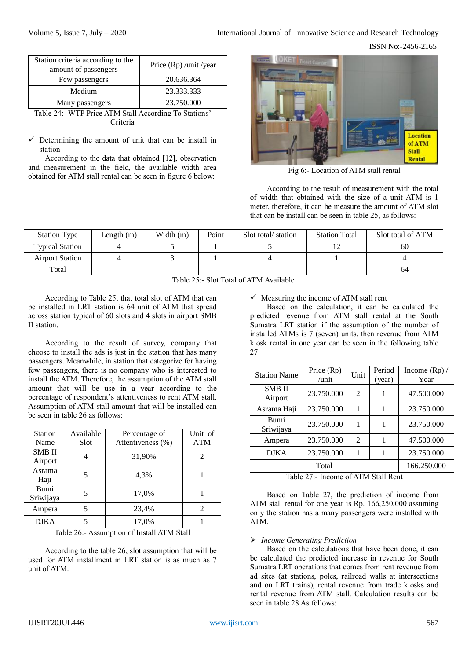ISSN No:-2456-2165

| Station criteria according to the<br>amount of passengers            | Price (Rp) /unit /year               |  |  |
|----------------------------------------------------------------------|--------------------------------------|--|--|
| Few passengers                                                       | 20.636.364                           |  |  |
| Medium                                                               | 23.333.333                           |  |  |
| Many passengers                                                      | 23.750.000                           |  |  |
| 1.773.601.11.1<br>$\mathbf{u}$<br>$\sim$ $\lambda$<br>$\overline{ }$ | $\mathbf{m}$ $\alpha$ . $\mathbf{r}$ |  |  |

Table 24:- WTP Price ATM Stall According To Stations' Criteria

 $\checkmark$  Determining the amount of unit that can be install in station

According to the data that obtained [12], observation and measurement in the field, the available width area obtained for ATM stall rental can be seen in figure 6 below:



Fig 6:- Location of ATM stall rental

According to the result of measurement with the total of width that obtained with the size of a unit ATM is 1 meter, therefore, it can be measure the amount of ATM slot that can be install can be seen in table 25, as follows:

| <b>Station Type</b>    | Length (m) | Width $(m)$ | Point | Solt total station | <b>Station Total</b> | Slot total of ATM |
|------------------------|------------|-------------|-------|--------------------|----------------------|-------------------|
| <b>Typical Station</b> |            |             |       |                    |                      | 60                |
| <b>Airport Station</b> |            |             |       |                    |                      |                   |
| Total                  |            |             |       |                    |                      | 64                |

Table 25:- Slot Total of ATM Available

According to Table 25, that total slot of ATM that can be installed in LRT station is 64 unit of ATM that spread across station typical of 60 slots and 4 slots in airport SMB II station.

According to the result of survey, company that choose to install the ads is just in the station that has many passengers. Meanwhile, in station that categorize for having few passengers, there is no company who is interested to install the ATM. Therefore, the assumption of the ATM stall amount that will be use in a year according to the percentage of respondent's attentiveness to rent ATM stall. Assumption of ATM stall amount that will be installed can be seen in table 26 as follows:

| <b>Station</b><br>Name   | Available<br>Slot | Percentage of<br>Attentiveness (%) | Unit of<br><b>ATM</b> |
|--------------------------|-------------------|------------------------------------|-----------------------|
| <b>SMB II</b><br>Airport |                   | 31,90%                             |                       |
| Asrama<br>Haji           |                   | 4,3%                               |                       |
| Bumi<br>Sriwijaya        |                   | 17,0%                              |                       |
| Ampera                   |                   | 23,4%                              | 2                     |
| <b>DJKA</b>              |                   | 17,0%                              |                       |

Table 26:- Assumption of Install ATM Stall

According to the table 26, slot assumption that will be used for ATM installment in LRT station is as much as 7 unit of ATM.

 $\checkmark$  Measuring the income of ATM stall rent

Based on the calculation, it can be calculated the predicted revenue from ATM stall rental at the South Sumatra LRT station if the assumption of the number of installed ATMs is 7 (seven) units, then revenue from ATM kiosk rental in one year can be seen in the following table  $27.$ 

| <b>Station Name</b>                 | Price (Rp)<br>$\mu$ nit | Unit           | Period<br>(year) | Income $(Rp)$ /<br>Year |
|-------------------------------------|-------------------------|----------------|------------------|-------------------------|
| <b>SMB</b> <sub>II</sub><br>Airport | 23.750.000              | $\mathfrak{D}$ |                  | 47.500.000              |
| Asrama Haji                         | 23.750.000              |                |                  | 23.750.000              |
| Bumi<br>Sriwijaya                   | 23.750.000              | 1              |                  | 23.750.000              |
| Ampera                              | 23.750.000              | $\mathfrak{D}$ |                  | 47.500.000              |
| <b>DJKA</b>                         | 23.750.000              |                |                  | 23.750.000              |
| Total                               |                         |                |                  | 166.250.000             |

Table 27:- Income of ATM Stall Rent

Based on Table 27, the prediction of income from ATM stall rental for one year is Rp. 166,250,000 assuming only the station has a many passengers were installed with ATM.

# *Income Generating Prediction*

Based on the calculations that have been done, it can be calculated the predicted increase in revenue for South Sumatra LRT operations that comes from rent revenue from ad sites (at stations, poles, railroad walls at intersections and on LRT trains), rental revenue from trade kiosks and rental revenue from ATM stall. Calculation results can be seen in table 28 As follows: